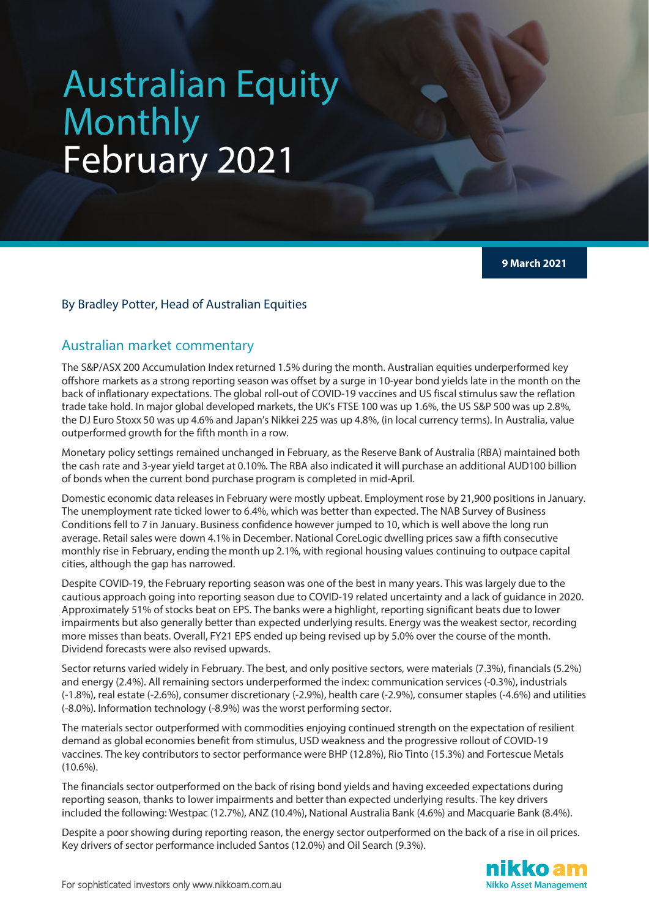# Australian Equity Monthly February 2021

**9 March 2021**

#### By Bradley Potter, Head of Australian Equities

#### Australian market commentary

The S&P/ASX 200 Accumulation Index returned 1.5% during the month. Australian equities underperformed key offshore markets as a strong reporting season was offset by a surge in 10-year bond yields late in the month on the back of inflationary expectations. The global roll-out of COVID-19 vaccines and US fiscal stimulus saw the reflation trade take hold. In major global developed markets, the UK's FTSE 100 was up 1.6%, the US S&P 500 was up 2.8%, the DJ Euro Stoxx 50 was up 4.6% and Japan's Nikkei 225 was up 4.8%, (in local currency terms). In Australia, value outperformed growth for the fifth month in a row.

Monetary policy settings remained unchanged in February, as the Reserve Bank of Australia (RBA) maintained both the cash rate and 3-year yield target at 0.10%. The RBA also indicated it will purchase an additional AUD100 billion of bonds when the current bond purchase program is completed in mid-April.

Domestic economic data releases in February were mostly upbeat. Employment rose by 21,900 positions in January. The unemployment rate ticked lower to 6.4%, which was better than expected. The NAB Survey of Business Conditions fell to 7 in January. Business confidence however jumped to 10, which is well above the long run average. Retail sales were down 4.1% in December. National CoreLogic dwelling prices saw a fifth consecutive monthly rise in February, ending the month up 2.1%, with regional housing values continuing to outpace capital cities, although the gap has narrowed.

Despite COVID-19, the February reporting season was one of the best in many years. This was largely due to the cautious approach going into reporting season due to COVID-19 related uncertainty and a lack of guidance in 2020. Approximately 51% of stocks beat on EPS. The banks were a highlight, reporting significant beats due to lower impairments but also generally better than expected underlying results. Energy was the weakest sector, recording more misses than beats. Overall, FY21 EPS ended up being revised up by 5.0% over the course of the month. Dividend forecasts were also revised upwards.

Sector returns varied widely in February. The best, and only positive sectors, were materials (7.3%), financials (5.2%) and energy (2.4%). All remaining sectors underperformed the index: communication services (-0.3%), industrials (-1.8%), real estate (-2.6%), consumer discretionary (-2.9%), health care (-2.9%), consumer staples (-4.6%) and utilities (-8.0%). Information technology (-8.9%) was the worst performing sector.

The materials sector outperformed with commodities enjoying continued strength on the expectation of resilient demand as global economies benefit from stimulus, USD weakness and the progressive rollout of COVID-19 vaccines. The key contributors to sector performance were BHP (12.8%), Rio Tinto (15.3%) and Fortescue Metals (10.6%).

The financials sector outperformed on the back of rising bond yields and having exceeded expectations during reporting season, thanks to lower impairments and better than expected underlying results. The key drivers included the following: Westpac (12.7%), ANZ (10.4%), National Australia Bank (4.6%) and Macquarie Bank (8.4%).

Despite a poor showing during reporting reason, the energy sector outperformed on the back of a rise in oil prices. Key drivers of sector performance included Santos (12.0%) and Oil Search (9.3%).

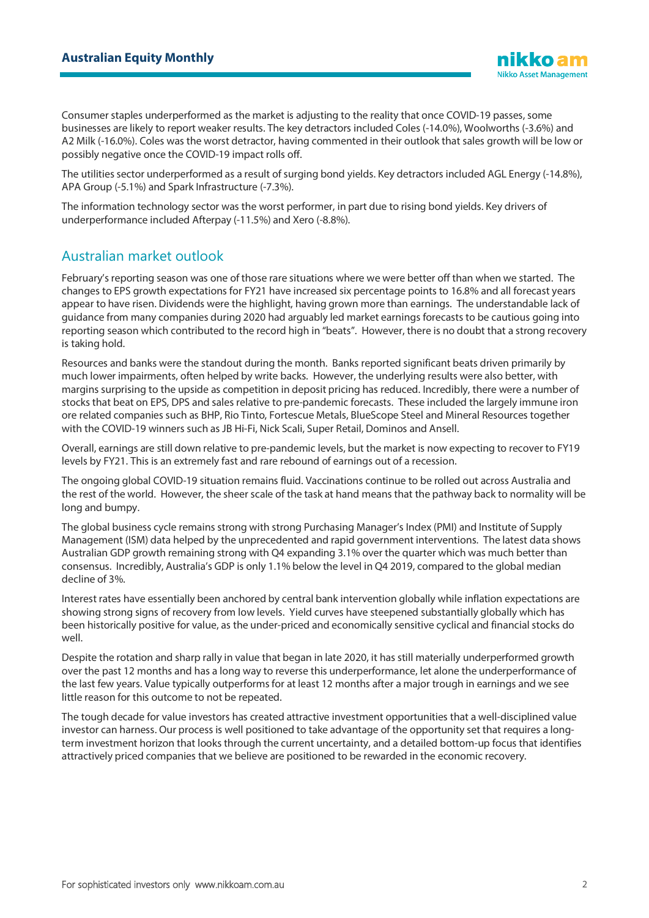Consumer staples underperformed as the market is adjusting to the reality that once COVID-19 passes, some businesses are likely to report weaker results. The key detractors included Coles (-14.0%), Woolworths (-3.6%) and A2 Milk (-16.0%). Coles was the worst detractor, having commented in their outlook that sales growth will be low or possibly negative once the COVID-19 impact rolls off.

The utilities sector underperformed as a result of surging bond yields. Key detractors included AGL Energy (-14.8%), APA Group (-5.1%) and Spark Infrastructure (-7.3%).

The information technology sector was the worst performer, in part due to rising bond yields. Key drivers of underperformance included Afterpay (-11.5%) and Xero (-8.8%).

# Australian market outlook

February's reporting season was one of those rare situations where we were better off than when we started. The changes to EPS growth expectations for FY21 have increased six percentage points to 16.8% and all forecast years appear to have risen. Dividends were the highlight, having grown more than earnings. The understandable lack of guidance from many companies during 2020 had arguably led market earnings forecasts to be cautious going into reporting season which contributed to the record high in "beats". However, there is no doubt that a strong recovery is taking hold.

Resources and banks were the standout during the month. Banks reported significant beats driven primarily by much lower impairments, often helped by write backs. However, the underlying results were also better, with margins surprising to the upside as competition in deposit pricing has reduced. Incredibly, there were a number of stocks that beat on EPS, DPS and sales relative to pre-pandemic forecasts. These included the largely immune iron ore related companies such as BHP, Rio Tinto, Fortescue Metals, BlueScope Steel and Mineral Resources together with the COVID-19 winners such as JB Hi-Fi, Nick Scali, Super Retail, Dominos and Ansell.

Overall, earnings are still down relative to pre-pandemic levels, but the market is now expecting to recover to FY19 levels by FY21. This is an extremely fast and rare rebound of earnings out of a recession.

The ongoing global COVID-19 situation remains fluid. Vaccinations continue to be rolled out across Australia and the rest of the world. However, the sheer scale of the task at hand means that the pathway back to normality will be long and bumpy.

The global business cycle remains strong with strong Purchasing Manager's Index (PMI) and Institute of Supply Management (ISM) data helped by the unprecedented and rapid government interventions. The latest data shows Australian GDP growth remaining strong with Q4 expanding 3.1% over the quarter which was much better than consensus. Incredibly, Australia's GDP is only 1.1% below the level in Q4 2019, compared to the global median decline of 3%.

Interest rates have essentially been anchored by central bank intervention globally while inflation expectations are showing strong signs of recovery from low levels. Yield curves have steepened substantially globally which has been historically positive for value, as the under-priced and economically sensitive cyclical and financial stocks do well.

Despite the rotation and sharp rally in value that began in late 2020, it has still materially underperformed growth over the past 12 months and has a long way to reverse this underperformance, let alone the underperformance of the last few years. Value typically outperforms for at least 12 months after a major trough in earnings and we see little reason for this outcome to not be repeated.

The tough decade for value investors has created attractive investment opportunities that a well-disciplined value investor can harness. Our process is well positioned to take advantage of the opportunity set that requires a longterm investment horizon that looks through the current uncertainty, and a detailed bottom-up focus that identifies attractively priced companies that we believe are positioned to be rewarded in the economic recovery.

**Nikko Asset Management**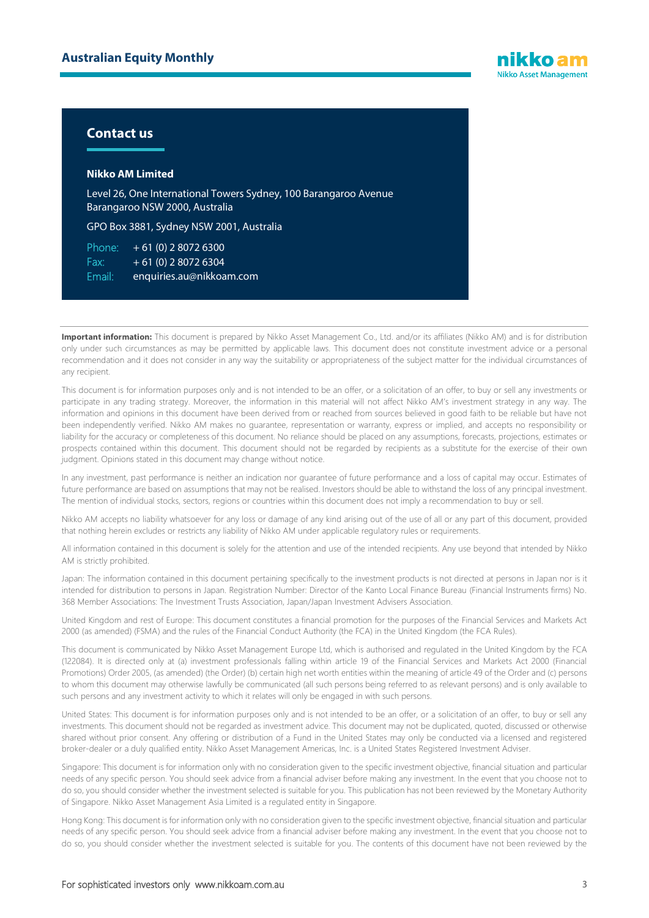

### **Contact us**

#### **Nikko AM Limited**

Level 26, One International Towers Sydney, 100 Barangaroo Avenue Barangaroo NSW 2000, Australia

GPO Box 3881, Sydney NSW 2001, Australia

Phone:  $+61(0)$  2 8072 6300 Fax:  $+ 61 (0) 280726304$ Email: enquiries.au@nikkoam.com

Important information: This document is prepared by Nikko Asset Management Co., Ltd. and/or its affiliates (Nikko AM) and is for distribution only under such circumstances as may be permitted by applicable laws. This document does not constitute investment advice or a personal recommendation and it does not consider in any way the suitability or appropriateness of the subject matter for the individual circumstances of any recipient.

This document is for information purposes only and is not intended to be an offer, or a solicitation of an offer, to buy or sell any investments or participate in any trading strategy. Moreover, the information in this material will not affect Nikko AM's investment strategy in any way. The information and opinions in this document have been derived from or reached from sources believed in good faith to be reliable but have not been independently verified. Nikko AM makes no guarantee, representation or warranty, express or implied, and accepts no responsibility or liability for the accuracy or completeness of this document. No reliance should be placed on any assumptions, forecasts, projections, estimates or prospects contained within this document. This document should not be regarded by recipients as a substitute for the exercise of their own judgment. Opinions stated in this document may change without notice.

In any investment, past performance is neither an indication nor guarantee of future performance and a loss of capital may occur. Estimates of future performance are based on assumptions that may not be realised. Investors should be able to withstand the loss of any principal investment. The mention of individual stocks, sectors, regions or countries within this document does not imply a recommendation to buy or sell.

Nikko AM accepts no liability whatsoever for any loss or damage of any kind arising out of the use of all or any part of this document, provided that nothing herein excludes or restricts any liability of Nikko AM under applicable regulatory rules or requirements.

All information contained in this document is solely for the attention and use of the intended recipients. Any use beyond that intended by Nikko AM is strictly prohibited.

Japan: The information contained in this document pertaining specifically to the investment products is not directed at persons in Japan nor is it intended for distribution to persons in Japan. Registration Number: Director of the Kanto Local Finance Bureau (Financial Instruments firms) No. 368 Member Associations: The Investment Trusts Association, Japan/Japan Investment Advisers Association.

United Kingdom and rest of Europe: This document constitutes a financial promotion for the purposes of the Financial Services and Markets Act 2000 (as amended) (FSMA) and the rules of the Financial Conduct Authority (the FCA) in the United Kingdom (the FCA Rules).

This document is communicated by Nikko Asset Management Europe Ltd, which is authorised and regulated in the United Kingdom by the FCA (122084). It is directed only at (a) investment professionals falling within article 19 of the Financial Services and Markets Act 2000 (Financial Promotions) Order 2005, (as amended) (the Order) (b) certain high net worth entities within the meaning of article 49 of the Order and (c) persons to whom this document may otherwise lawfully be communicated (all such persons being referred to as relevant persons) and is only available to such persons and any investment activity to which it relates will only be engaged in with such persons.

United States: This document is for information purposes only and is not intended to be an offer, or a solicitation of an offer, to buy or sell any investments. This document should not be regarded as investment advice. This document may not be duplicated, quoted, discussed or otherwise shared without prior consent. Any offering or distribution of a Fund in the United States may only be conducted via a licensed and registered broker-dealer or a duly qualified entity. Nikko Asset Management Americas, Inc. is a United States Registered Investment Adviser.

Singapore: This document is for information only with no consideration given to the specific investment objective, financial situation and particular needs of any specific person. You should seek advice from a financial adviser before making any investment. In the event that you choose not to do so, you should consider whether the investment selected is suitable for you. This publication has not been reviewed by the Monetary Authority of Singapore. Nikko Asset Management Asia Limited is a regulated entity in Singapore.

Hong Kong: This document is for information only with no consideration given to the specific investment objective, financial situation and particular needs of any specific person. You should seek advice from a financial adviser before making any investment. In the event that you choose not to do so, you should consider whether the investment selected is suitable for you. The contents of this document have not been reviewed by the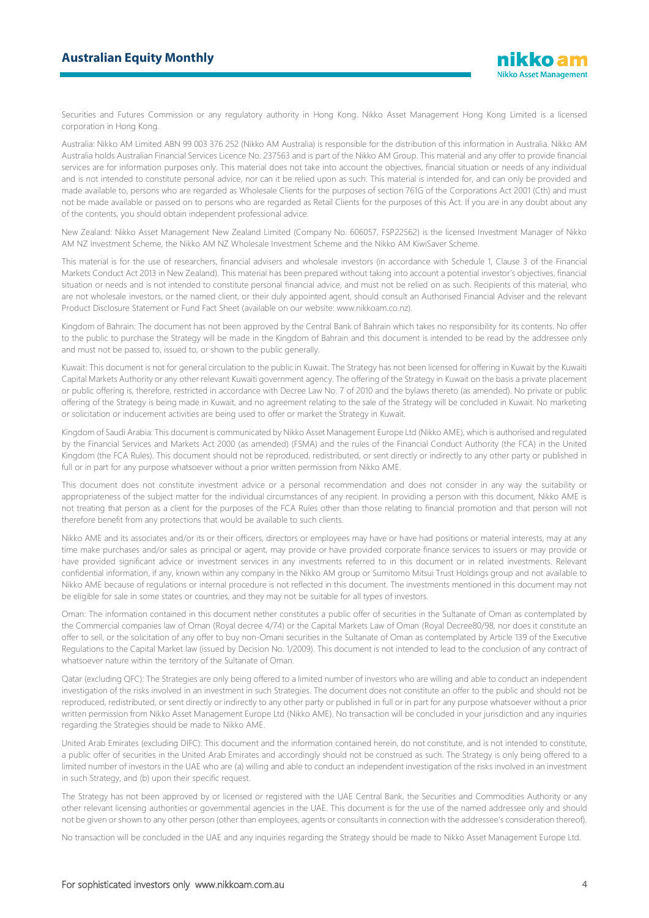### **Australian Equity Monthly**

Securities and Futures Commission or any regulatory authority in Hong Kong. Nikko Asset Management Hong Kong Limited is a licensed corporation in Hong Kong.

Australia: Nikko AM Limited ABN 99 003 376 252 (Nikko AM Australia) is responsible for the distribution of this information in Australia. Nikko AM Australia holds Australian Financial Services Licence No. 237563 and is part of the Nikko AM Group. This material and any offer to provide financial services are for information purposes only. This material does not take into account the objectives, financial situation or needs of any individual and is not intended to constitute personal advice, nor can it be relied upon as such. This material is intended for, and can only be provided and made available to, persons who are regarded as Wholesale Clients for the purposes of section 761G of the Corporations Act 2001 (Cth) and must not be made available or passed on to persons who are regarded as Retail Clients for the purposes of this Act. If you are in any doubt about any of the contents, you should obtain independent professional advice.

New Zealand: Nikko Asset Management New Zealand Limited (Company No. 606057, FSP22562) is the licensed Investment Manager of Nikko AM NZ Investment Scheme, the Nikko AM NZ Wholesale Investment Scheme and the Nikko AM KiwiSaver Scheme.

This material is for the use of researchers, financial advisers and wholesale investors (in accordance with Schedule 1, Clause 3 of the Financial Markets Conduct Act 2013 in New Zealand). This material has been prepared without taking into account a potential investor's objectives, financial situation or needs and is not intended to constitute personal financial advice, and must not be relied on as such. Recipients of this material, who are not wholesale investors, or the named client, or their duly appointed agent, should consult an Authorised Financial Adviser and the relevant Product Disclosure Statement or Fund Fact Sheet (available on our website: www.nikkoam.co.nz).

Kingdom of Bahrain: The document has not been approved by the Central Bank of Bahrain which takes no responsibility for its contents. No offer to the public to purchase the Strategy will be made in the Kingdom of Bahrain and this document is intended to be read by the addressee only and must not be passed to, issued to, or shown to the public generally.

Kuwait: This document is not for general circulation to the public in Kuwait. The Strategy has not been licensed for offering in Kuwait by the Kuwaiti Capital Markets Authority or any other relevant Kuwaiti government agency. The offering of the Strategy in Kuwait on the basis a private placement or public offering is, therefore, restricted in accordance with Decree Law No. 7 of 2010 and the bylaws thereto (as amended). No private or public offering of the Strategy is being made in Kuwait, and no agreement relating to the sale of the Strategy will be concluded in Kuwait. No marketing or solicitation or inducement activities are being used to offer or market the Strategy in Kuwait.

Kingdom of Saudi Arabia: This document is communicated by Nikko Asset Management Europe Ltd (Nikko AME), which is authorised and regulated by the Financial Services and Markets Act 2000 (as amended) (FSMA) and the rules of the Financial Conduct Authority (the FCA) in the United Kingdom (the FCA Rules). This document should not be reproduced, redistributed, or sent directly or indirectly to any other party or published in full or in part for any purpose whatsoever without a prior written permission from Nikko AME.

This document does not constitute investment advice or a personal recommendation and does not consider in any way the suitability or appropriateness of the subject matter for the individual circumstances of any recipient. In providing a person with this document, Nikko AME is not treating that person as a client for the purposes of the FCA Rules other than those relating to financial promotion and that person will not therefore benefit from any protections that would be available to such clients.

Nikko AME and its associates and/or its or their officers, directors or employees may have or have had positions or material interests, may at any time make purchases and/or sales as principal or agent, may provide or have provided corporate finance services to issuers or may provide or have provided significant advice or investment services in any investments referred to in this document or in related investments. Relevant confidential information, if any, known within any company in the Nikko AM group or Sumitomo Mitsui Trust Holdings group and not available to Nikko AME because of regulations or internal procedure is not reflected in this document. The investments mentioned in this document may not be eligible for sale in some states or countries, and they may not be suitable for all types of investors.

Oman: The information contained in this document nether constitutes a public offer of securities in the Sultanate of Oman as contemplated by the Commercial companies law of Oman (Royal decree 4/74) or the Capital Markets Law of Oman (Royal Decree80/98, nor does it constitute an offer to sell, or the solicitation of any offer to buy non-Omani securities in the Sultanate of Oman as contemplated by Article 139 of the Executive Regulations to the Capital Market law (issued by Decision No. 1/2009). This document is not intended to lead to the conclusion of any contract of whatsoever nature within the territory of the Sultanate of Oman.

Qatar (excluding QFC): The Strategies are only being offered to a limited number of investors who are willing and able to conduct an independent investigation of the risks involved in an investment in such Strategies. The document does not constitute an offer to the public and should not be reproduced, redistributed, or sent directly or indirectly to any other party or published in full or in part for any purpose whatsoever without a prior written permission from Nikko Asset Management Europe Ltd (Nikko AME). No transaction will be concluded in your jurisdiction and any inquiries regarding the Strategies should be made to Nikko AME.

United Arab Emirates (excluding DIFC): This document and the information contained herein, do not constitute, and is not intended to constitute, a public offer of securities in the United Arab Emirates and accordingly should not be construed as such. The Strategy is only being offered to a limited number of investors in the UAE who are (a) willing and able to conduct an independent investigation of the risks involved in an investment in such Strategy, and (b) upon their specific request.

The Strategy has not been approved by or licensed or registered with the UAE Central Bank, the Securities and Commodities Authority or any other relevant licensing authorities or governmental agencies in the UAE. This document is for the use of the named addressee only and should not be given or shown to any other person (other than employees, agents or consultants in connection with the addressee's consideration thereof).

No transaction will be concluded in the UAE and any inquiries regarding the Strategy should be made to Nikko Asset Management Europe Ltd.